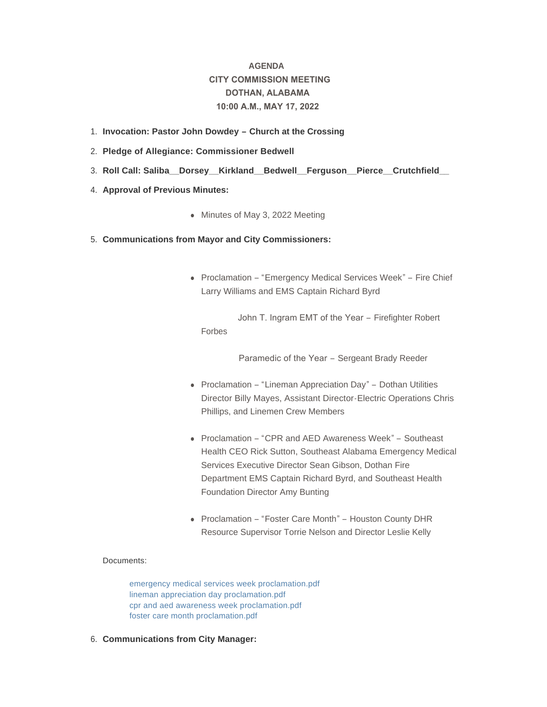# **AGENDA CITY COMMISSION MEETING DOTHAN, ALABAMA 10:00 A.M., MAY 17, 2022**

- **Invocation: Pastor John Dowdey – Church at the Crossing** 1.
- **Pledge of Allegiance: Commissioner Bedwell** 2.
- **Roll Call: Saliba\_\_Dorsey\_\_Kirkland\_\_Bedwell\_\_Ferguson\_\_Pierce\_\_Crutchfield\_\_**  3.
- 4. **Approval of Previous Minutes:** 
	- Minutes of May 3, 2022 Meeting
- **Communications from Mayor and City Commissioners:** 5.
	- Proclamation "Emergency Medical Services Week" Fire Chief Larry Williams and EMS Captain Richard Byrd

 John T. Ingram EMT of the Year – Firefighter Robert Forbes

Paramedic of the Year – Sergeant Brady Reeder

- Proclamation "Lineman Appreciation Day" Dothan Utilities Director Billy Mayes, Assistant Director-Electric Operations Chris Phillips, and Linemen Crew Members
- Proclamation "CPR and AED Awareness Week" Southeast Health CEO Rick Sutton, Southeast Alabama Emergency Medical Services Executive Director Sean Gibson, Dothan Fire Department EMS Captain Richard Byrd, and Southeast Health Foundation Director Amy Bunting
- Proclamation "Foster Care Month" Houston County DHR Resource Supervisor Torrie Nelson and Director Leslie Kelly

# Documents:

[emergency medical services week proclamation.pdf](http://www.dothan.org/AgendaCenter/ViewFile/Item/7786?fileID=12516) [lineman appreciation day proclamation.pdf](http://www.dothan.org/AgendaCenter/ViewFile/Item/7786?fileID=12517) [cpr and aed awareness week proclamation.pdf](http://www.dothan.org/AgendaCenter/ViewFile/Item/7786?fileID=12518) [foster care month proclamation.pdf](http://www.dothan.org/AgendaCenter/ViewFile/Item/7786?fileID=12519)

**Communications from City Manager:** 6.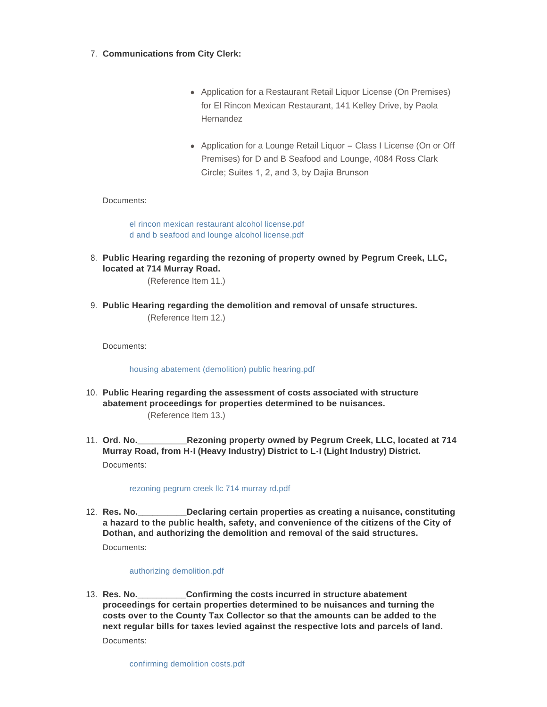- **Communications from City Clerk:** 7.
	- Application for a Restaurant Retail Liquor License (On Premises) for El Rincon Mexican Restaurant, 141 Kelley Drive, by Paola Hernandez
	- Application for a Lounge Retail Liquor Class I License (On or Off Premises) for D and B Seafood and Lounge, 4084 Ross Clark Circle; Suites 1, 2, and 3, by Dajia Brunson

# Documents:

[el rincon mexican restaurant alcohol license.pdf](http://www.dothan.org/AgendaCenter/ViewFile/Item/7790?fileID=12522) [d and b seafood and lounge alcohol license.pdf](http://www.dothan.org/AgendaCenter/ViewFile/Item/7790?fileID=12523)

**Public Hearing regarding the rezoning of property owned by Pegrum Creek, LLC,**  8. **located at 714 Murray Road.**

(Reference Item 11.)

**Public Hearing regarding the demolition and removal of unsafe structures.** 9. (Reference Item 12.)

Documents:

## [housing abatement \(demolition\) public hearing.pdf](http://www.dothan.org/AgendaCenter/ViewFile/Item/7764?fileID=12499)

- **Public Hearing regarding the assessment of costs associated with structure**  10. **abatement proceedings for properties determined to be nuisances.** (Reference Item 13.)
- **Rezoning property owned by Pegrum Creek, LLC, located at 714 Murray Road, from H-I (Heavy Industry) District to L-I (Light Industry) District.** 11. Ord. No. Documents:

## [rezoning pegrum creek llc 714 murray rd.pdf](http://www.dothan.org/AgendaCenter/ViewFile/Item/7766?fileID=12500)

**Declaring certain properties as creating a nuisance, constituting a hazard to the public health, safety, and convenience of the citizens of the City of Dothan, and authorizing the demolition and removal of the said structures.** 12. Res. No. Documents:

## [authorizing demolition.pdf](http://www.dothan.org/AgendaCenter/ViewFile/Item/7767?fileID=12501)

**\_Confirming the costs incurred in structure abatement proceedings for certain properties determined to be nuisances and turning the costs over to the County Tax Collector so that the amounts can be added to the next regular bills for taxes levied against the respective lots and parcels of land.** 13. Res. No. Documents: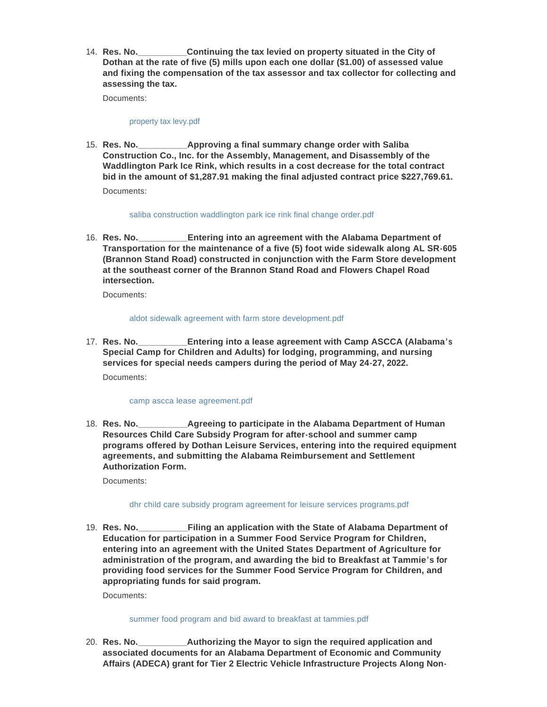**Continuing the tax levied on property situated in the City of Dothan at the rate of five (5) mills upon each one dollar (\$1.00) of assessed value and fixing the compensation of the tax assessor and tax collector for collecting and assessing the tax.** 14. **Res. No.** 

Documents:

## [property tax levy.pdf](http://www.dothan.org/AgendaCenter/ViewFile/Item/7769?fileID=12503)

**Approving a final summary change order with Saliba Construction Co., Inc. for the Assembly, Management, and Disassembly of the Waddlington Park Ice Rink, which results in a cost decrease for the total contract bid in the amount of \$1,287.91 making the final adjusted contract price \$227,769.61.** 15. **Res. No.** Documents:

## [saliba construction waddlington park ice rink final change order.pdf](http://www.dothan.org/AgendaCenter/ViewFile/Item/7770?fileID=12504)

**Entering into an agreement with the Alabama Department of Transportation for the maintenance of a five (5) foot wide sidewalk along AL SR-605 (Brannon Stand Road) constructed in conjunction with the Farm Store development at the southeast corner of the Brannon Stand Road and Flowers Chapel Road intersection.** 16. **Res. No.** 

Documents:

# [aldot sidewalk agreement with farm store development.pdf](http://www.dothan.org/AgendaCenter/ViewFile/Item/7771?fileID=12505)

**Entering into a lease agreement with Camp ASCCA (Alabama's Special Camp for Children and Adults) for lodging, programming, and nursing services for special needs campers during the period of May 24-27, 2022.** 17. **Res. No.** Documents:

## [camp ascca lease agreement.pdf](http://www.dothan.org/AgendaCenter/ViewFile/Item/7772?fileID=12506)

**Agreeing to participate in the Alabama Department of Human Resources Child Care Subsidy Program for after-school and summer camp programs offered by Dothan Leisure Services, entering into the required equipment agreements, and submitting the Alabama Reimbursement and Settlement Authorization Form.** 18. Res. No.

Documents:

# [dhr child care subsidy program agreement for leisure services programs.pdf](http://www.dothan.org/AgendaCenter/ViewFile/Item/7773?fileID=12507)

**Filing an application with the State of Alabama Department of Education for participation in a Summer Food Service Program for Children, entering into an agreement with the United States Department of Agriculture for administration of the program, and awarding the bid to Breakfast at Tammie's for providing food services for the Summer Food Service Program for Children, and appropriating funds for said program.** 19. **Res. No.** 

Documents:

## [summer food program and bid award to breakfast at tammies.pdf](http://www.dothan.org/AgendaCenter/ViewFile/Item/7774?fileID=12508)

**\_Authorizing the Mayor to sign the required application and associated documents for an Alabama Department of Economic and Community Affairs (ADECA) grant for Tier 2 Electric Vehicle Infrastructure Projects Along Non-**20. Res. No.